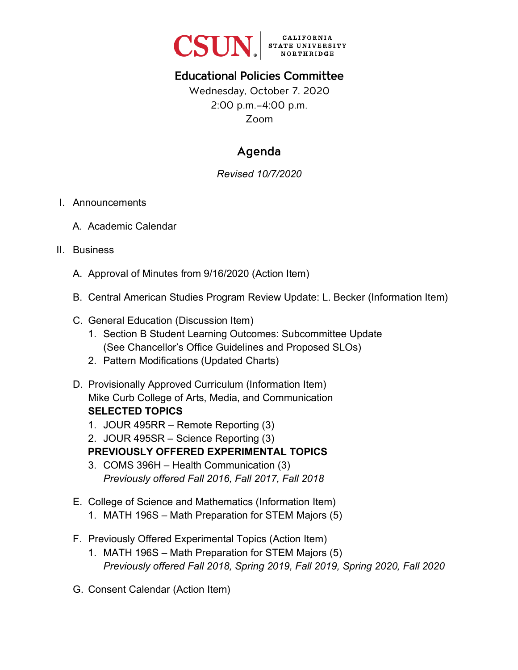

# Educational Policies Committee

Wednesday, October 7, 2020 2:00 p.m.–4:00 p.m. Zoom

# Agenda

### *Revised 10/7/2020*

#### I. Announcements

A. Academic Calendar

#### II. Business

- A. Approval of Minutes from 9/16/2020 (Action Item)
- B. Central American Studies Program Review Update: L. Becker (Information Item)
- C. General Education (Discussion Item)
	- 1. Section B Student Learning Outcomes: Subcommittee Update (See Chancellor's Office Guidelines and Proposed SLOs)
	- 2. Pattern Modifications (Updated Charts)
- D. Provisionally Approved Curriculum (Information Item) Mike Curb College of Arts, Media, and Communication **SELECTED TOPICS**
	- 1. JOUR 495RR Remote Reporting (3)

2. JOUR 495SR – Science Reporting (3) **PREVIOUSLY OFFERED EXPERIMENTAL TOPICS**

- 3. COMS 396H Health Communication (3) *Previously offered Fall 2016, Fall 2017, Fall 2018*
- E. College of Science and Mathematics (Information Item)
	- 1. MATH 196S Math Preparation for STEM Majors (5)
- F. Previously Offered Experimental Topics (Action Item)
	- 1. MATH 196S Math Preparation for STEM Majors (5) *Previously offered Fall 2018, Spring 2019, Fall 2019, Spring 2020, Fall 2020*
- G. Consent Calendar (Action Item)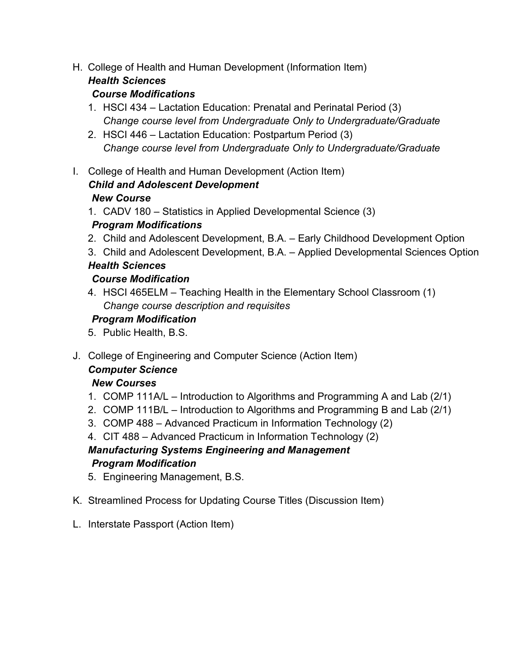H. College of Health and Human Development (Information Item)

# *Health Sciences*

### *Course Modifications*

- 1. HSCI 434 Lactation Education: Prenatal and Perinatal Period (3) *Change course level from Undergraduate Only to Undergraduate/Graduate*
- 2. HSCI 446 Lactation Education: Postpartum Period (3) *Change course level from Undergraduate Only to Undergraduate/Graduate*
- I. College of Health and Human Development (Action Item) *Child and Adolescent Development*

#### *New Course*

- 1. CADV 180 Statistics in Applied Developmental Science (3) *Program Modifications*
- 2. Child and Adolescent Development, B.A. Early Childhood Development Option
- 3. Child and Adolescent Development, B.A. Applied Developmental Sciences Option

## *Health Sciences*

### *Course Modification*

4. HSCI 465ELM – Teaching Health in the Elementary School Classroom (1) *Change course description and requisites* 

## *Program Modification*

- 5. Public Health, B.S.
- J. College of Engineering and Computer Science (Action Item)

#### *Computer Science*

## *New Courses*

- 1. COMP 111A/L Introduction to Algorithms and Programming A and Lab (2/1)
- 2. COMP 111B/L Introduction to Algorithms and Programming B and Lab (2/1)
- 3. COMP 488 Advanced Practicum in Information Technology (2)
- 4. CIT 488 Advanced Practicum in Information Technology (2) *Manufacturing Systems Engineering and Management Program Modification*
- 5. Engineering Management, B.S.
- K. Streamlined Process for Updating Course Titles (Discussion Item)
- L. Interstate Passport (Action Item)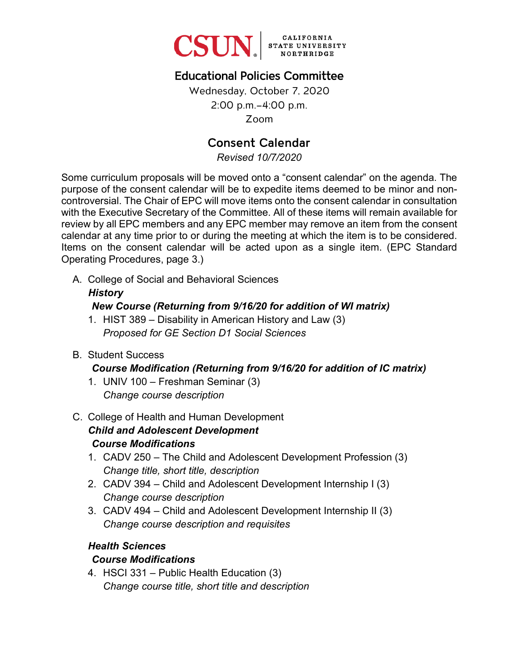

# Educational Policies Committee

Wednesday, October 7, 2020 2:00 p.m.–4:00 p.m. Zoom

## Consent Calendar

*Revised 10/7/2020*

Some curriculum proposals will be moved onto a "consent calendar" on the agenda. The purpose of the consent calendar will be to expedite items deemed to be minor and noncontroversial. The Chair of EPC will move items onto the consent calendar in consultation with the Executive Secretary of the Committee. All of these items will remain available for review by all EPC members and any EPC member may remove an item from the consent calendar at any time prior to or during the meeting at which the item is to be considered. Items on the consent calendar will be acted upon as a single item. (EPC Standard Operating Procedures, page 3.)

A. College of Social and Behavioral Sciences

## *History New Course (Returning from 9/16/20 for addition of WI matrix)*

- 1. HIST 389 Disability in American History and Law (3) *Proposed for GE Section D1 Social Sciences*
- B. Student Success

#### *Course Modification (Returning from 9/16/20 for addition of IC matrix)*

- 1. UNIV 100 Freshman Seminar (3) *Change course description*
- C. College of Health and Human Development *Child and Adolescent Development Course Modifications*
	- 1. CADV 250 The Child and Adolescent Development Profession (3) *Change title, short title, description*
	- 2. CADV 394 Child and Adolescent Development Internship I (3) *Change course description*
	- 3. CADV 494 Child and Adolescent Development Internship II (3) *Change course description and requisites*

#### *Health Sciences*

#### *Course Modifications*

4. HSCI 331 – Public Health Education (3) *Change course title, short title and description*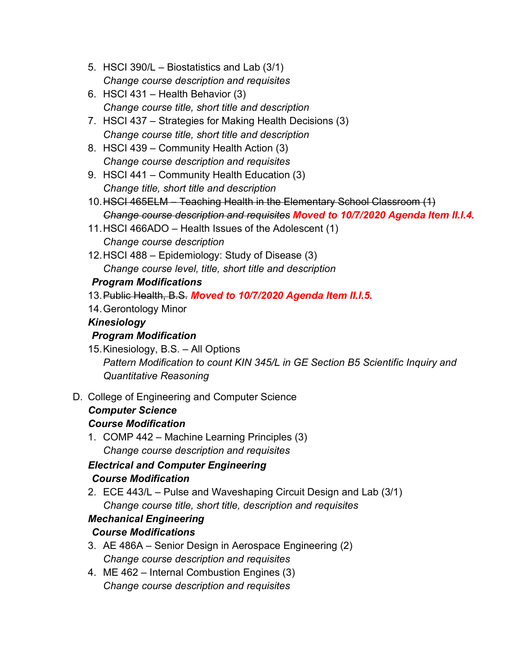- 5. HSCI 390/L Biostatistics and Lab (3/1) *Change course description and requisites*
- 6. HSCI 431 Health Behavior (3) *Change course title, short title and description*
- 7. HSCI 437 Strategies for Making Health Decisions (3) *Change course title, short title and description*
- 8. HSCI 439 Community Health Action (3) *Change course description and requisites*
- 9. HSCI 441 Community Health Education (3) *Change title, short title and description*
- 10.HSCI 465ELM Teaching Health in the Elementary School Classroom (1) *Change course description and requisites Moved to 10/7/2020 Agenda Item II.I.4.*
- 11.HSCI 466ADO Health Issues of the Adolescent (1) *Change course description*
- 12.HSCI 488 Epidemiology: Study of Disease (3) *Change course level, title, short title and description*

*Program Modifications*

- 13. Public Health, B.S. *Moved to 10/7/2020 Agenda Item II.I.5.*
- 14. Gerontology Minor

## *Kinesiology*

## *Program Modification*

- 15. Kinesiology, B.S. All Options *Pattern Modification to count KIN 345/L in GE Section B5 Scientific Inquiry and Quantitative Reasoning*
- D. College of Engineering and Computer Science

# *Computer Science*

## *Course Modification*

1. COMP 442 – Machine Learning Principles (3) *Change course description and requisites* 

#### *Electrical and Computer Engineering Course Modification*

2. ECE 443/L – Pulse and Waveshaping Circuit Design and Lab (3/1) *Change course title, short title, description and requisites*

## *Mechanical Engineering*

## *Course Modifications*

- 3. AE 486A Senior Design in Aerospace Engineering (2) *Change course description and requisites*
- 4. ME 462 Internal Combustion Engines (3) *Change course description and requisites*